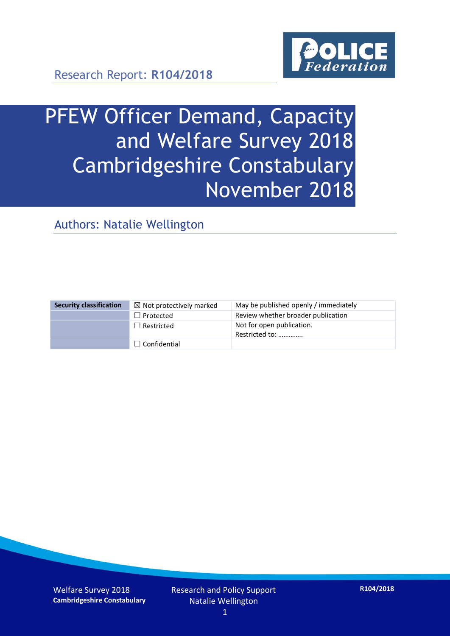

Research Report: **R104/2018**

# PFEW Officer Demand, Capacity and Welfare Survey 2018 Cambridgeshire Constabulary November 2018

Authors: Natalie Wellington

| <b>Security classification</b> | $\boxtimes$ Not protectively marked | May be published openly / immediately       |
|--------------------------------|-------------------------------------|---------------------------------------------|
|                                | $\Box$ Protected                    | Review whether broader publication          |
|                                | $\Box$ Restricted                   | Not for open publication.<br>Restricted to: |
|                                | $\Box$ Confidential                 |                                             |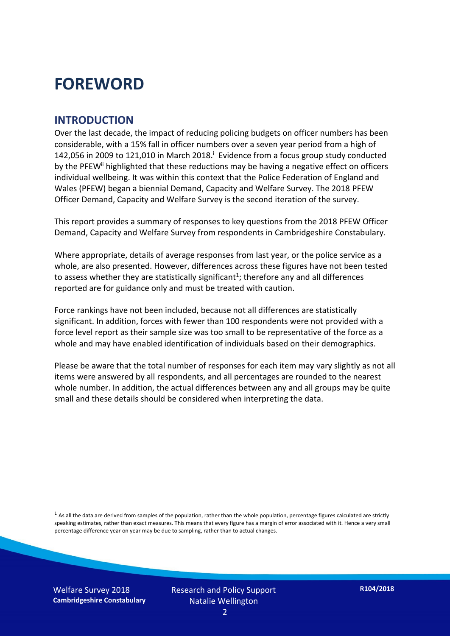### **FOREWORD**

#### **INTRODUCTION**

Over the last decade, the impact of reducing policing budgets on officer numbers has been considerable, with a 15% fall in officer numbers over a seven year period from a high of 142,056 in 2009 to 121,010 in March 2018. $^{\mathrm{i}}$  Evidence from a focus group study conducted by the PFEW<sup>ii</sup> highlighted that these reductions may be having a negative effect on officers individual wellbeing. It was within this context that the Police Federation of England and Wales (PFEW) began a biennial Demand, Capacity and Welfare Survey. The 2018 PFEW Officer Demand, Capacity and Welfare Survey is the second iteration of the survey.

This report provides a summary of responses to key questions from the 2018 PFEW Officer Demand, Capacity and Welfare Survey from respondents in Cambridgeshire Constabulary.

Where appropriate, details of average responses from last year, or the police service as a whole, are also presented. However, differences across these figures have not been tested to assess whether they are statistically significant<sup>1</sup>; therefore any and all differences reported are for guidance only and must be treated with caution.

Force rankings have not been included, because not all differences are statistically significant. In addition, forces with fewer than 100 respondents were not provided with a force level report as their sample size was too small to be representative of the force as a whole and may have enabled identification of individuals based on their demographics.

Please be aware that the total number of responses for each item may vary slightly as not all items were answered by all respondents, and all percentages are rounded to the nearest whole number. In addition, the actual differences between any and all groups may be quite small and these details should be considered when interpreting the data.

Welfare Survey 2018 **Cambridgeshire Constabulary**

-

 $<sup>1</sup>$  As all the data are derived from samples of the population, rather than the whole population, percentage figures calculated are strictly</sup> speaking estimates, rather than exact measures. This means that every figure has a margin of error associated with it. Hence a very small percentage difference year on year may be due to sampling, rather than to actual changes.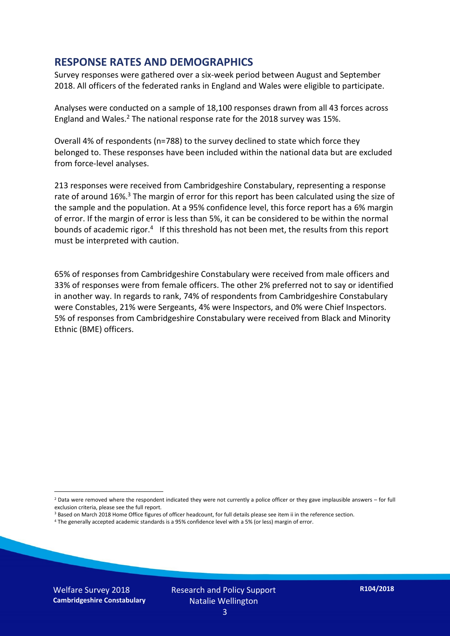#### **RESPONSE RATES AND DEMOGRAPHICS**

Survey responses were gathered over a six-week period between August and September 2018. All officers of the federated ranks in England and Wales were eligible to participate.

Analyses were conducted on a sample of 18,100 responses drawn from all 43 forces across England and Wales.<sup>2</sup> The national response rate for the 2018 survey was 15%.

Overall 4% of respondents (n=788) to the survey declined to state which force they belonged to. These responses have been included within the national data but are excluded from force-level analyses.

213 responses were received from Cambridgeshire Constabulary, representing a response rate of around 16%.<sup>3</sup> The margin of error for this report has been calculated using the size of the sample and the population. At a 95% confidence level, this force report has a 6% margin of error. If the margin of error is less than 5%, it can be considered to be within the normal bounds of academic rigor.<sup>4</sup> If this threshold has not been met, the results from this report must be interpreted with caution.

65% of responses from Cambridgeshire Constabulary were received from male officers and 33% of responses were from female officers. The other 2% preferred not to say or identified in another way. In regards to rank, 74% of respondents from Cambridgeshire Constabulary were Constables, 21% were Sergeants, 4% were Inspectors, and 0% were Chief Inspectors. 5% of responses from Cambridgeshire Constabulary were received from Black and Minority Ethnic (BME) officers.

-

 $2$  Data were removed where the respondent indicated they were not currently a police officer or they gave implausible answers – for full exclusion criteria, please see the full report.

<sup>3</sup> Based on March 2018 Home Office figures of officer headcount, for full details please see item ii in the reference section.

<sup>4</sup> The generally accepted academic standards is a 95% confidence level with a 5% (or less) margin of error.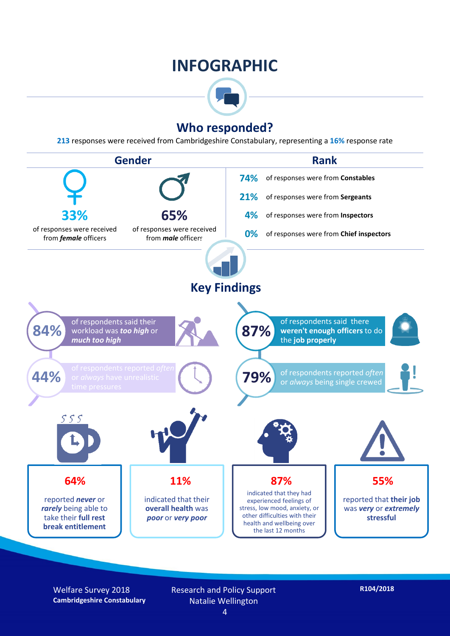### **INFOGRAPHIC**



#### **Who responded?**

**213** responses were received from Cambridgeshire Constabulary, representing a **16%** response rate



Welfare Survey 2018 **Cambridgeshire Constabulary** Research and Policy Support Natalie Wellington 4

**R104/2018**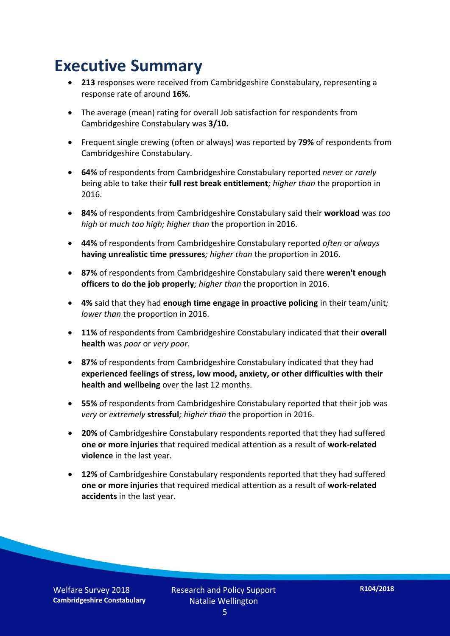### **Executive Summary**

- **213** responses were received from Cambridgeshire Constabulary, representing a response rate of around **16%**.
- The average (mean) rating for overall Job satisfaction for respondents from Cambridgeshire Constabulary was **3/10.**
- Frequent single crewing (often or always) was reported by **79%** of respondents from Cambridgeshire Constabulary.
- **64%** of respondents from Cambridgeshire Constabulary reported *never* or *rarely* being able to take their **full rest break entitlement***; higher than* the proportion in 2016.
- **84%** of respondents from Cambridgeshire Constabulary said their **workload** was *too high* or *much too high; higher than* the proportion in 2016.
- **44%** of respondents from Cambridgeshire Constabulary reported *often* or *always* **having unrealistic time pressures***; higher than* the proportion in 2016.
- **87%** of respondents from Cambridgeshire Constabulary said there **weren't enough officers to do the job properly***; higher than* the proportion in 2016.
- **4%** said that they had **enough time engage in proactive policing** in their team/unit*; lower than* the proportion in 2016.
- **11%** of respondents from Cambridgeshire Constabulary indicated that their **overall health** was *poor* or *very poor.*
- **87%** of respondents from Cambridgeshire Constabulary indicated that they had **experienced feelings of stress, low mood, anxiety, or other difficulties with their health and wellbeing** over the last 12 months.
- **55%** of respondents from Cambridgeshire Constabulary reported that their job was *very* or *extremely* **stressful***; higher than* the proportion in 2016.
- **20%** of Cambridgeshire Constabulary respondents reported that they had suffered **one or more injuries** that required medical attention as a result of **work-related violence** in the last year.
- **12%** of Cambridgeshire Constabulary respondents reported that they had suffered **one or more injuries** that required medical attention as a result of **work-related accidents** in the last year.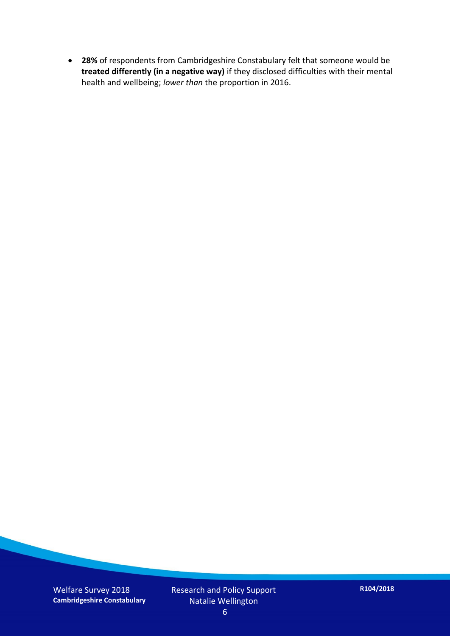**28%** of respondents from Cambridgeshire Constabulary felt that someone would be **treated differently (in a negative way)** if they disclosed difficulties with their mental health and wellbeing; *lower than* the proportion in 2016.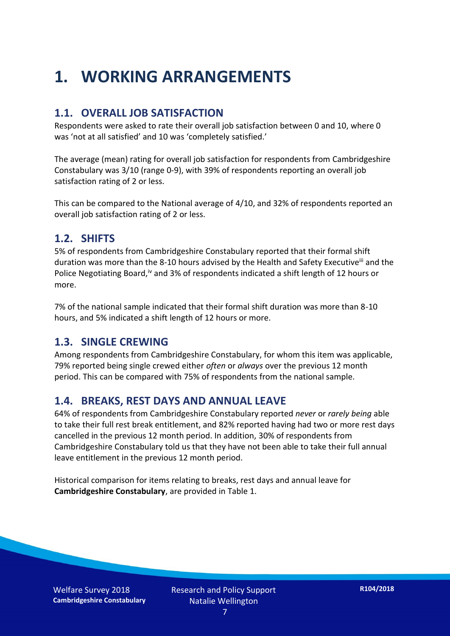## **1. WORKING ARRANGEMENTS**

#### **1.1. OVERALL JOB SATISFACTION**

Respondents were asked to rate their overall job satisfaction between 0 and 10, where 0 was 'not at all satisfied' and 10 was 'completely satisfied.'

The average (mean) rating for overall job satisfaction for respondents from Cambridgeshire Constabulary was 3/10 (range 0-9), with 39% of respondents reporting an overall job satisfaction rating of 2 or less.

This can be compared to the National average of 4/10, and 32% of respondents reported an overall job satisfaction rating of 2 or less.

#### **1.2. SHIFTS**

5% of respondents from Cambridgeshire Constabulary reported that their formal shift duration was more than the 8-10 hours advised by the Health and Safety Executive<sup>iii</sup> and the Police Negotiating Board,<sup>iv</sup> and 3% of respondents indicated a shift length of 12 hours or more.

7% of the national sample indicated that their formal shift duration was more than 8-10 hours, and 5% indicated a shift length of 12 hours or more.

#### **1.3. SINGLE CREWING**

Among respondents from Cambridgeshire Constabulary, for whom this item was applicable, 79% reported being single crewed either *often* or *always* over the previous 12 month period. This can be compared with 75% of respondents from the national sample.

#### **1.4. BREAKS, REST DAYS AND ANNUAL LEAVE**

64% of respondents from Cambridgeshire Constabulary reported *never* or *rarely being* able to take their full rest break entitlement, and 82% reported having had two or more rest days cancelled in the previous 12 month period. In addition, 30% of respondents from Cambridgeshire Constabulary told us that they have not been able to take their full annual leave entitlement in the previous 12 month period.

Historical comparison for items relating to breaks, rest days and annual leave for **Cambridgeshire Constabulary**, are provided in Table 1.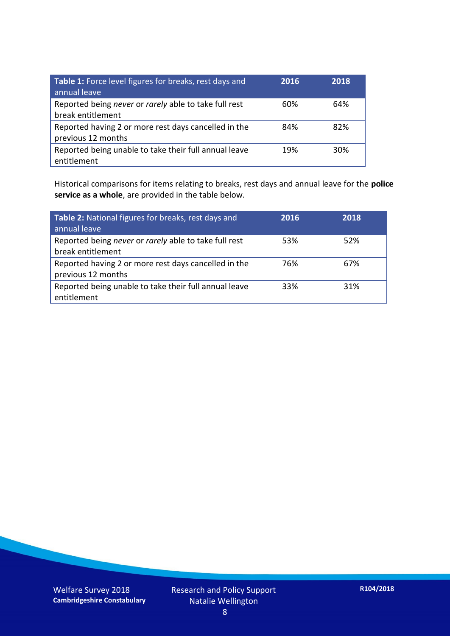| Table 1: Force level figures for breaks, rest days and<br>annual leave     | 2016 | 2018 |
|----------------------------------------------------------------------------|------|------|
| Reported being never or rarely able to take full rest<br>break entitlement | 60%  | 64%  |
| Reported having 2 or more rest days cancelled in the<br>previous 12 months | 84%  | 82%  |
| Reported being unable to take their full annual leave<br>entitlement       | 19%  | 30%  |

Historical comparisons for items relating to breaks, rest days and annual leave for the **police service as a whole**, are provided in the table below.

| Table 2: National figures for breaks, rest days and<br>annual leave        | 2016 | 2018 |
|----------------------------------------------------------------------------|------|------|
| Reported being never or rarely able to take full rest<br>break entitlement | 53%  | 52%  |
| Reported having 2 or more rest days cancelled in the<br>previous 12 months | 76%  | 67%  |
| Reported being unable to take their full annual leave<br>entitlement       | 33%  | 31%  |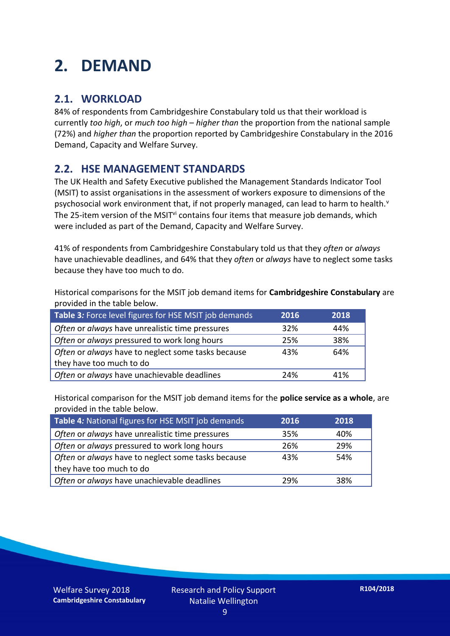## **2. DEMAND**

#### **2.1. WORKLOAD**

84% of respondents from Cambridgeshire Constabulary told us that their workload is currently *too high*, or *much too high* – *higher than* the proportion from the national sample (72%) and *higher than* the proportion reported by Cambridgeshire Constabulary in the 2016 Demand, Capacity and Welfare Survey.

#### **2.2. HSE MANAGEMENT STANDARDS**

The UK Health and Safety Executive published the Management Standards Indicator Tool (MSIT) to assist organisations in the assessment of workers exposure to dimensions of the psychosocial work environment that, if not properly managed, can lead to harm to health.<sup>v</sup> The 25-item version of the MSIT<sup>vi</sup> contains four items that measure job demands, which were included as part of the Demand, Capacity and Welfare Survey.

41% of respondents from Cambridgeshire Constabulary told us that they *often* or *always* have unachievable deadlines, and 64% that they *often* or *always* have to neglect some tasks because they have too much to do.

Historical comparisons for the MSIT job demand items for **Cambridgeshire Constabulary** are provided in the table below.

| Table 3: Force level figures for HSE MSIT job demands | 2016 | 2018 |
|-------------------------------------------------------|------|------|
| Often or always have unrealistic time pressures       | 32%  | 44%  |
| Often or always pressured to work long hours          | 25%  | 38%  |
| Often or always have to neglect some tasks because    | 43%  | 64%  |
| they have too much to do                              |      |      |
| Often or always have unachievable deadlines           | 24%  | 41%  |

Historical comparison for the MSIT job demand items for the **police service as a whole**, are provided in the table below.

| Table 4: National figures for HSE MSIT job demands | 2016 | 2018 |
|----------------------------------------------------|------|------|
| Often or always have unrealistic time pressures    | 35%  | 40%  |
| Often or always pressured to work long hours       | 26%  | 29%  |
| Often or always have to neglect some tasks because | 43%  | 54%  |
| they have too much to do                           |      |      |
| Often or always have unachievable deadlines        | 29%  | 38%  |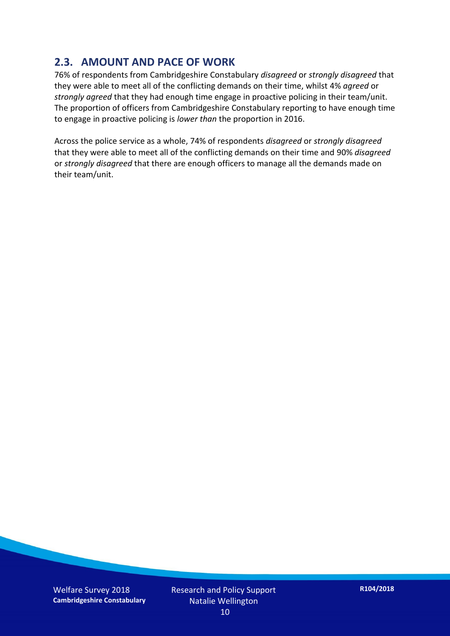#### **2.3. AMOUNT AND PACE OF WORK**

76% of respondents from Cambridgeshire Constabulary *disagreed* or *strongly disagreed* that they were able to meet all of the conflicting demands on their time, whilst 4% *agreed* or *strongly agreed* that they had enough time engage in proactive policing in their team/unit. The proportion of officers from Cambridgeshire Constabulary reporting to have enough time to engage in proactive policing is *lower than* the proportion in 2016.

Across the police service as a whole, 74% of respondents *disagreed* or *strongly disagreed* that they were able to meet all of the conflicting demands on their time and 90% *disagreed* or *strongly disagreed* that there are enough officers to manage all the demands made on their team/unit.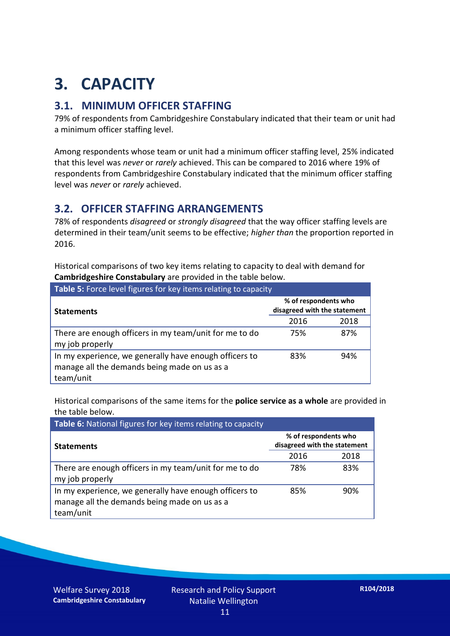## **3. CAPACITY**

#### **3.1. MINIMUM OFFICER STAFFING**

79% of respondents from Cambridgeshire Constabulary indicated that their team or unit had a minimum officer staffing level.

Among respondents whose team or unit had a minimum officer staffing level, 25% indicated that this level was *never* or *rarely* achieved. This can be compared to 2016 where 19% of respondents from Cambridgeshire Constabulary indicated that the minimum officer staffing level was *never* or *rarely* achieved.

#### **3.2. OFFICER STAFFING ARRANGEMENTS**

78% of respondents *disagreed* or *strongly disagreed* that the way officer staffing levels are determined in their team/unit seems to be effective; *higher than* the proportion reported in 2016.

Historical comparisons of two key items relating to capacity to deal with demand for **Cambridgeshire Constabulary** are provided in the table below.

| Table 5: Force level figures for key items relating to capacity                                                     |                                                      |      |  |
|---------------------------------------------------------------------------------------------------------------------|------------------------------------------------------|------|--|
| <b>Statements</b>                                                                                                   | % of respondents who<br>disagreed with the statement |      |  |
|                                                                                                                     | 2016                                                 | 2018 |  |
| There are enough officers in my team/unit for me to do<br>my job properly                                           | 75%                                                  | 87%  |  |
| In my experience, we generally have enough officers to<br>manage all the demands being made on us as a<br>team/unit | 83%                                                  | 94%  |  |

Historical comparisons of the same items for the **police service as a whole** are provided in the table below.

| Table 6: National figures for key items relating to capacity                                                        |                                                      |      |  |  |
|---------------------------------------------------------------------------------------------------------------------|------------------------------------------------------|------|--|--|
| <b>Statements</b>                                                                                                   | % of respondents who<br>disagreed with the statement |      |  |  |
|                                                                                                                     | 2016                                                 | 2018 |  |  |
| There are enough officers in my team/unit for me to do<br>my job properly                                           | 78%                                                  | 83%  |  |  |
| In my experience, we generally have enough officers to<br>manage all the demands being made on us as a<br>team/unit | 85%                                                  | 90%  |  |  |

Welfare Survey 2018 **Cambridgeshire Constabulary**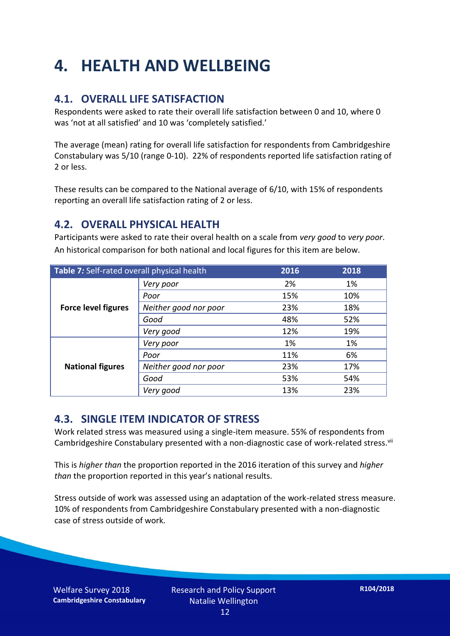## **4. HEALTH AND WELLBEING**

#### **4.1. OVERALL LIFE SATISFACTION**

Respondents were asked to rate their overall life satisfaction between 0 and 10, where 0 was 'not at all satisfied' and 10 was 'completely satisfied.'

The average (mean) rating for overall life satisfaction for respondents from Cambridgeshire Constabulary was 5/10 (range 0-10). 22% of respondents reported life satisfaction rating of 2 or less.

These results can be compared to the National average of 6/10, with 15% of respondents reporting an overall life satisfaction rating of 2 or less.

#### **4.2. OVERALL PHYSICAL HEALTH**

Participants were asked to rate their overal health on a scale from *very good* to *very poor*. An historical comparison for both national and local figures for this item are below.

| Table 7: Self-rated overall physical health |                       | 2016 | 2018 |
|---------------------------------------------|-----------------------|------|------|
|                                             | Very poor             | 2%   | 1%   |
|                                             | Poor                  | 15%  | 10%  |
| <b>Force level figures</b>                  | Neither good nor poor | 23%  | 18%  |
|                                             | Good                  | 48%  | 52%  |
|                                             | Very good             | 12%  | 19%  |
| <b>National figures</b>                     | Very poor             | 1%   | 1%   |
|                                             | Poor                  | 11%  | 6%   |
|                                             | Neither good nor poor | 23%  | 17%  |
|                                             | Good                  | 53%  | 54%  |
|                                             | Very good             | 13%  | 23%  |

#### **4.3. SINGLE ITEM INDICATOR OF STRESS**

Work related stress was measured using a single-item measure. 55% of respondents from Cambridgeshire Constabulary presented with a non-diagnostic case of work-related stress.<sup>vii</sup>

This is *higher than* the proportion reported in the 2016 iteration of this survey and *higher than* the proportion reported in this year's national results.

Stress outside of work was assessed using an adaptation of the work-related stress measure. 10% of respondents from Cambridgeshire Constabulary presented with a non-diagnostic case of stress outside of work.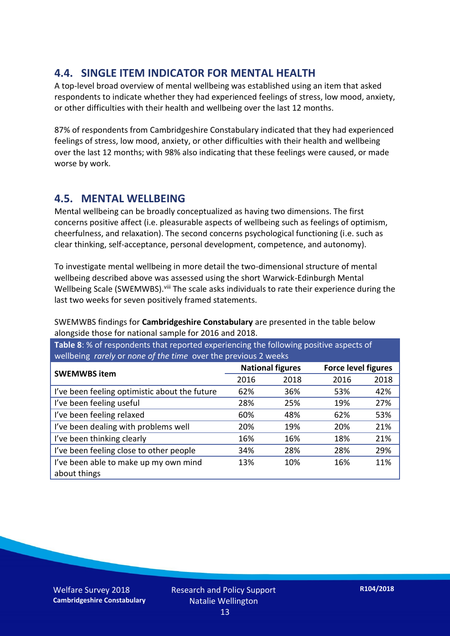#### **4.4. SINGLE ITEM INDICATOR FOR MENTAL HEALTH**

A top-level broad overview of mental wellbeing was established using an item that asked respondents to indicate whether they had experienced feelings of stress, low mood, anxiety, or other difficulties with their health and wellbeing over the last 12 months.

87% of respondents from Cambridgeshire Constabulary indicated that they had experienced feelings of stress, low mood, anxiety, or other difficulties with their health and wellbeing over the last 12 months; with 98% also indicating that these feelings were caused, or made worse by work.

#### **4.5. MENTAL WELLBEING**

Mental wellbeing can be broadly conceptualized as having two dimensions. The first concerns positive affect (i.e. pleasurable aspects of wellbeing such as feelings of optimism, cheerfulness, and relaxation). The second concerns psychological functioning (i.e. such as clear thinking, self-acceptance, personal development, competence, and autonomy).

To investigate mental wellbeing in more detail the two-dimensional structure of mental wellbeing described above was assessed using the short Warwick-Edinburgh Mental Wellbeing Scale (SWEMWBS). viii The scale asks individuals to rate their experience during the last two weeks for seven positively framed statements.

SWEMWBS findings for **Cambridgeshire Constabulary** are presented in the table below alongside those for national sample for 2016 and 2018.

**Table 8**: % of respondents that reported experiencing the following positive aspects of wellbeing *rarely* or *none of the time* over the previous 2 weeks

| <b>SWEMWBS item</b>                           | <b>National figures</b> |      | <b>Force level figures</b> |      |
|-----------------------------------------------|-------------------------|------|----------------------------|------|
|                                               | 2016                    | 2018 | 2016                       | 2018 |
| I've been feeling optimistic about the future | 62%                     | 36%  | 53%                        | 42%  |
| I've been feeling useful                      | 28%                     | 25%  | 19%                        | 27%  |
| I've been feeling relaxed                     | 60%                     | 48%  | 62%                        | 53%  |
| I've been dealing with problems well          | 20%                     | 19%  | 20%                        | 21%  |
| I've been thinking clearly                    | 16%                     | 16%  | 18%                        | 21%  |
| I've been feeling close to other people       | 34%                     | 28%  | 28%                        | 29%  |
| I've been able to make up my own mind         | 13%                     | 10%  | 16%                        | 11%  |
| about things                                  |                         |      |                            |      |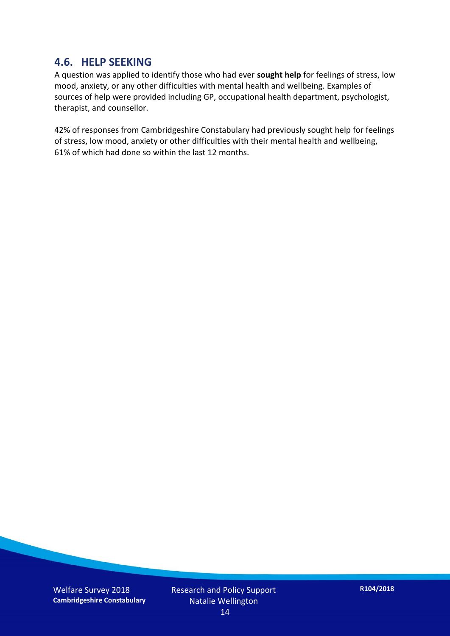#### **4.6. HELP SEEKING**

A question was applied to identify those who had ever **sought help** for feelings of stress, low mood, anxiety, or any other difficulties with mental health and wellbeing. Examples of sources of help were provided including GP, occupational health department, psychologist, therapist, and counsellor.

42% of responses from Cambridgeshire Constabulary had previously sought help for feelings of stress, low mood, anxiety or other difficulties with their mental health and wellbeing, 61% of which had done so within the last 12 months.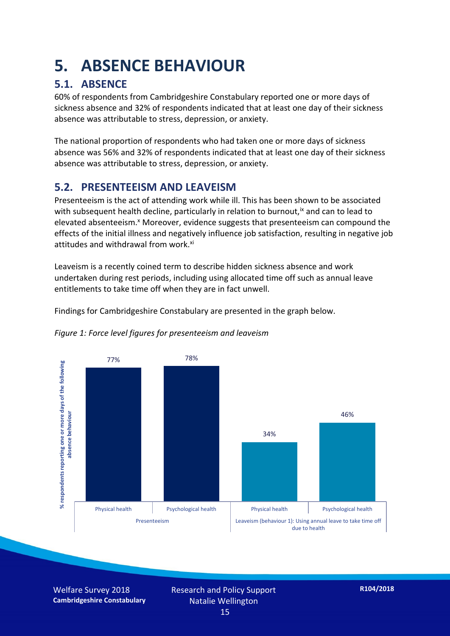### **5. ABSENCE BEHAVIOUR**

#### **5.1. ABSENCE**

60% of respondents from Cambridgeshire Constabulary reported one or more days of sickness absence and 32% of respondents indicated that at least one day of their sickness absence was attributable to stress, depression, or anxiety.

The national proportion of respondents who had taken one or more days of sickness absence was 56% and 32% of respondents indicated that at least one day of their sickness absence was attributable to stress, depression, or anxiety.

#### **5.2. PRESENTEEISM AND LEAVEISM**

Presenteeism is the act of attending work while ill. This has been shown to be associated with subsequent health decline, particularly in relation to burnout,  $\alpha$  and can to lead to elevated absenteeism.<sup>x</sup> Moreover, evidence suggests that presenteeism can compound the effects of the initial illness and negatively influence job satisfaction, resulting in negative job attitudes and withdrawal from work.<sup>xi</sup>

Leaveism is a recently coined term to describe hidden sickness absence and work undertaken during rest periods, including using allocated time off such as annual leave entitlements to take time off when they are in fact unwell.

Findings for Cambridgeshire Constabulary are presented in the graph below.



#### *Figure 1: Force level figures for presenteeism and leaveism*

Welfare Survey 2018 **Cambridgeshire Constabulary** Research and Policy Support Natalie Wellington 15

**R104/2018**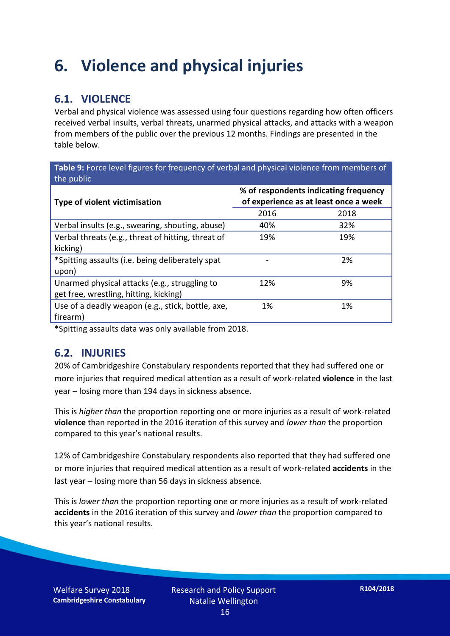### **6. Violence and physical injuries**

#### **6.1. VIOLENCE**

Verbal and physical violence was assessed using four questions regarding how often officers received verbal insults, verbal threats, unarmed physical attacks, and attacks with a weapon from members of the public over the previous 12 months. Findings are presented in the table below.

**Table 9:** Force level figures for frequency of verbal and physical violence from members of the public

| Type of violent victimisation                      | % of respondents indicating frequency<br>of experience as at least once a week |      |  |
|----------------------------------------------------|--------------------------------------------------------------------------------|------|--|
|                                                    | 2016                                                                           | 2018 |  |
| Verbal insults (e.g., swearing, shouting, abuse)   | 40%                                                                            | 32%  |  |
| Verbal threats (e.g., threat of hitting, threat of | 19%                                                                            | 19%  |  |
| kicking)                                           |                                                                                |      |  |
| *Spitting assaults (i.e. being deliberately spat   |                                                                                | 2%   |  |
| upon)                                              |                                                                                |      |  |
| Unarmed physical attacks (e.g., struggling to      | 12%                                                                            | 9%   |  |
| get free, wrestling, hitting, kicking)             |                                                                                |      |  |
| Use of a deadly weapon (e.g., stick, bottle, axe,  | 1%                                                                             | 1%   |  |
| firearm)                                           |                                                                                |      |  |

\*Spitting assaults data was only available from 2018.

#### **6.2. INJURIES**

20% of Cambridgeshire Constabulary respondents reported that they had suffered one or more injuries that required medical attention as a result of work-related **violence** in the last year – losing more than 194 days in sickness absence.

This is *higher than* the proportion reporting one or more injuries as a result of work-related **violence** than reported in the 2016 iteration of this survey and *lower than* the proportion compared to this year's national results.

12% of Cambridgeshire Constabulary respondents also reported that they had suffered one or more injuries that required medical attention as a result of work-related **accidents** in the last year – losing more than 56 days in sickness absence.

This is *lower than* the proportion reporting one or more injuries as a result of work-related **accidents** in the 2016 iteration of this survey and *lower than* the proportion compared to this year's national results.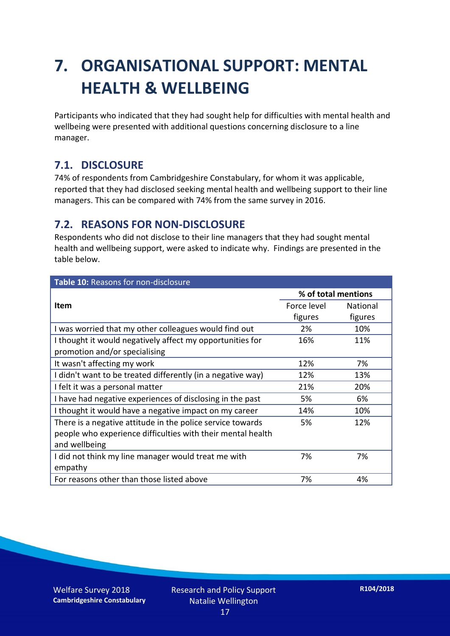## **7. ORGANISATIONAL SUPPORT: MENTAL HEALTH & WELLBEING**

Participants who indicated that they had sought help for difficulties with mental health and wellbeing were presented with additional questions concerning disclosure to a line manager.

#### **7.1. DISCLOSURE**

74% of respondents from Cambridgeshire Constabulary, for whom it was applicable, reported that they had disclosed seeking mental health and wellbeing support to their line managers. This can be compared with 74% from the same survey in 2016.

#### **7.2. REASONS FOR NON-DISCLOSURE**

Respondents who did not disclose to their line managers that they had sought mental health and wellbeing support, were asked to indicate why. Findings are presented in the table below.

| Table 10: Reasons for non-disclosure                        |                     |                 |  |
|-------------------------------------------------------------|---------------------|-----------------|--|
|                                                             | % of total mentions |                 |  |
| Item                                                        | Force level         | <b>National</b> |  |
|                                                             | figures             | figures         |  |
| I was worried that my other colleagues would find out       | 2%                  | 10%             |  |
| I thought it would negatively affect my opportunities for   | 16%                 | 11%             |  |
| promotion and/or specialising                               |                     |                 |  |
| It wasn't affecting my work                                 | 12%                 | 7%              |  |
| I didn't want to be treated differently (in a negative way) | 12%                 | 13%             |  |
| I felt it was a personal matter                             | 21%                 | 20%             |  |
| I have had negative experiences of disclosing in the past   | 5%                  | 6%              |  |
| I thought it would have a negative impact on my career      | 14%                 | 10%             |  |
| There is a negative attitude in the police service towards  | 5%                  | 12%             |  |
| people who experience difficulties with their mental health |                     |                 |  |
| and wellbeing                                               |                     |                 |  |
| I did not think my line manager would treat me with         | 7%                  | 7%              |  |
| empathy                                                     |                     |                 |  |
| For reasons other than those listed above                   | 7%                  | 4%              |  |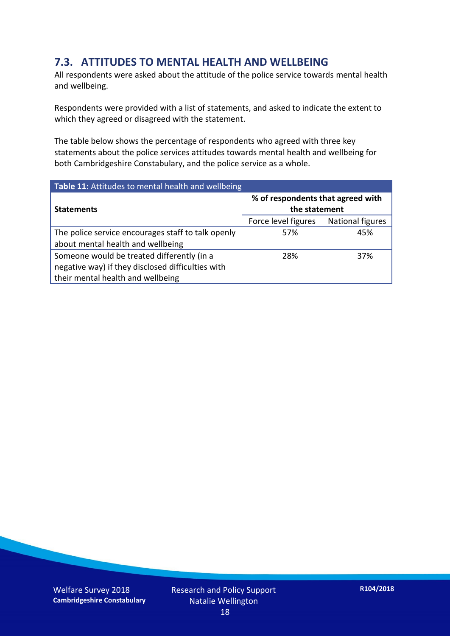#### **7.3. ATTITUDES TO MENTAL HEALTH AND WELLBEING**

All respondents were asked about the attitude of the police service towards mental health and wellbeing.

Respondents were provided with a list of statements, and asked to indicate the extent to which they agreed or disagreed with the statement.

The table below shows the percentage of respondents who agreed with three key statements about the police services attitudes towards mental health and wellbeing for both Cambridgeshire Constabulary, and the police service as a whole.

| Table 11: Attitudes to mental health and wellbeing |                                                    |                         |  |
|----------------------------------------------------|----------------------------------------------------|-------------------------|--|
| <b>Statements</b>                                  | % of respondents that agreed with<br>the statement |                         |  |
|                                                    | Force level figures                                | <b>National figures</b> |  |
| The police service encourages staff to talk openly | 57%                                                | 45%                     |  |
| about mental health and wellbeing                  |                                                    |                         |  |
| Someone would be treated differently (in a         | 28%                                                | 37%                     |  |
| negative way) if they disclosed difficulties with  |                                                    |                         |  |
| their mental health and wellbeing                  |                                                    |                         |  |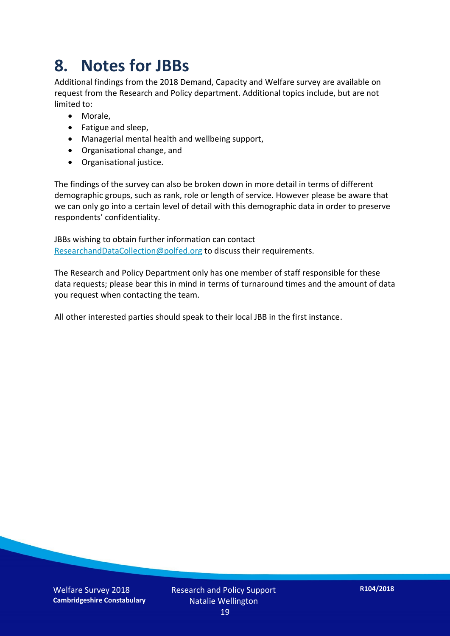### **8. Notes for JBBs**

Additional findings from the 2018 Demand, Capacity and Welfare survey are available on request from the Research and Policy department. Additional topics include, but are not limited to:

- Morale,
- Fatigue and sleep,
- Managerial mental health and wellbeing support,
- Organisational change, and
- Organisational justice.

The findings of the survey can also be broken down in more detail in terms of different demographic groups, such as rank, role or length of service. However please be aware that we can only go into a certain level of detail with this demographic data in order to preserve respondents' confidentiality.

JBBs wishing to obtain further information can contact [ResearchandDataCollection@polfed.org](mailto:ResearchandDataCollection@polfed.org) to discuss their requirements.

The Research and Policy Department only has one member of staff responsible for these data requests; please bear this in mind in terms of turnaround times and the amount of data you request when contacting the team.

All other interested parties should speak to their local JBB in the first instance.